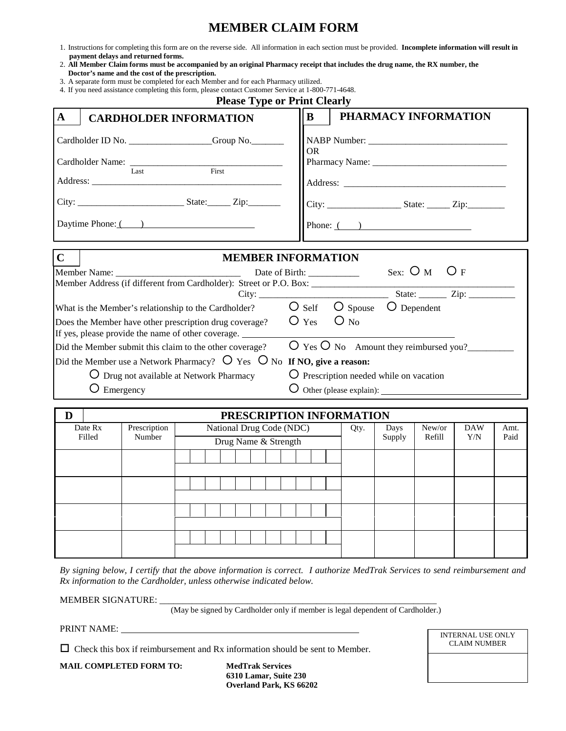# **MEMBER CLAIM FORM**

- 1. Instructions for completing this form are on the reverse side. All information in each section must be provided. **Incomplete information will result in payment delays and returned forms.**
- 2. **All Member Claim forms must be accompanied by an original Pharmacy receipt that includes the drug name, the RX number, the**
- **Doctor's name and the cost of the prescription.**
- 3. A separate form must be completed for each Member and for each Pharmacy utilized.

|                                                                                    |                      |                        | 4. If you need assistance completing this form, please contact Customer Service at 1-800-771-4648.<br><b>Please Type or Print Clearly</b> |                |                                                                  |                |                                |                     |              |
|------------------------------------------------------------------------------------|----------------------|------------------------|-------------------------------------------------------------------------------------------------------------------------------------------|----------------|------------------------------------------------------------------|----------------|--------------------------------|---------------------|--------------|
| $\mathbf{A}$                                                                       |                      |                        | <b>CARDHOLDER INFORMATION</b>                                                                                                             | $\bf{B}$       |                                                                  |                | PHARMACY INFORMATION           |                     |              |
| Cardholder ID No. ________________Group No.________<br>Cardholder Name: Tast First |                      |                        |                                                                                                                                           |                | OR.                                                              |                |                                |                     |              |
|                                                                                    |                      |                        | Daytime Phone: ( )                                                                                                                        |                | Phone: $($ $)$                                                   |                |                                |                     |              |
| $\mathbf C$                                                                        |                      |                        | <b>MEMBER INFORMATION</b>                                                                                                                 |                |                                                                  |                |                                |                     |              |
|                                                                                    |                      |                        | Member Address (if different from Cardholder): Street or P.O. Box: ______________                                                         |                |                                                                  |                | Sex: $\bigcirc$ M $\bigcirc$ F |                     |              |
|                                                                                    |                      |                        |                                                                                                                                           |                |                                                                  |                |                                | State: $\frac{Zip:$ |              |
|                                                                                    |                      |                        | What is the Member's relationship to the Cardholder?                                                                                      |                | $O$ Self $O$ Spouse                                              | O Dependent    |                                |                     |              |
|                                                                                    |                      |                        | Does the Member have other prescription drug coverage?<br>If yes, please provide the name of other coverage.                              | $\bigcirc$ Yes | $O_{N0}$                                                         |                |                                |                     |              |
|                                                                                    |                      |                        | Did the Member submit this claim to the other coverage?                                                                                   |                | $\overline{O}$ Yes $\overline{O}$ No Amount they reimbursed you? |                |                                |                     |              |
|                                                                                    |                      |                        | Did the Member use a Network Pharmacy? $\overline{O}$ Yes $\overline{O}$ No If NO, give a reason:                                         |                |                                                                  |                |                                |                     |              |
|                                                                                    |                      |                        | O Drug not available at Network Pharmacy                                                                                                  |                | O Prescription needed while on vacation                          |                |                                |                     |              |
|                                                                                    | $\bigcirc$ Emergency |                        |                                                                                                                                           |                |                                                                  |                |                                |                     |              |
|                                                                                    |                      |                        |                                                                                                                                           |                |                                                                  |                |                                |                     |              |
| D                                                                                  |                      |                        | PRESCRIPTION INFORMATION                                                                                                                  |                |                                                                  |                |                                |                     |              |
|                                                                                    | Date Rx<br>Filled    | Prescription<br>Number | National Drug Code (NDC)<br>Drug Name & Strength                                                                                          |                | Qty.                                                             | Days<br>Supply | New/or<br>Refill               | <b>DAW</b><br>Y/N   | Amt.<br>Paid |

*By signing below, I certify that the above information is correct. I authorize MedTrak Services to send reimbursement and Rx information to the Cardholder, unless otherwise indicated below.* 

MEMBER SIGNATURE:

(May be signed by Cardholder only if member is legal dependent of Cardholder.)

PRINT NAME:

 $\Box$  Check this box if reimbursement and Rx information should be sent to Member.

**MAIL COMPLETED FORM TO: MedTrak Services** 

 **6310 Lamar, Suite 230 Overland Park, KS 66202** INTERNAL USE ONLY CLAIM NUMBER